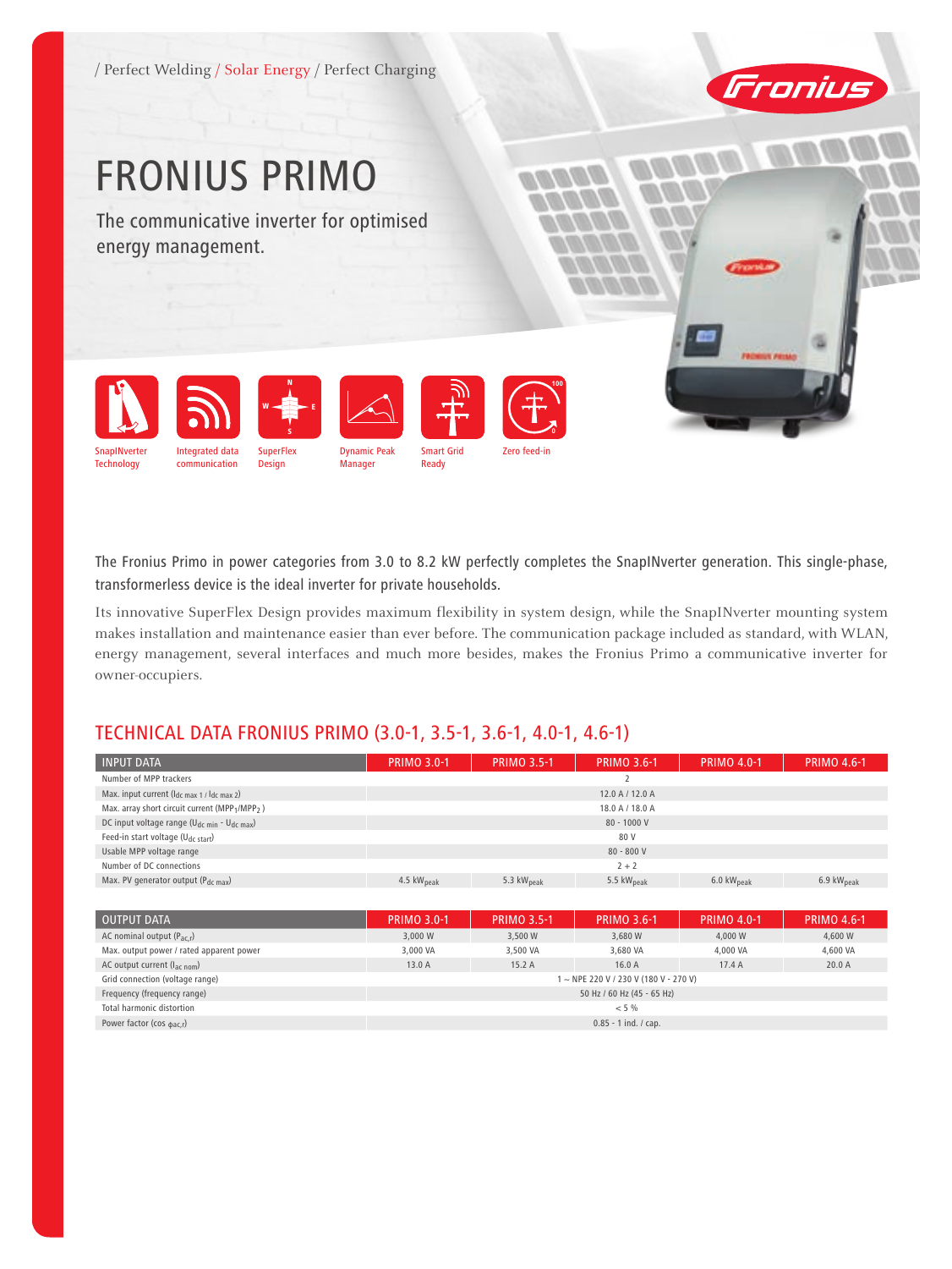/ Perfect Welding / Solar Energy / Perfect Charging



# FRONIUS PRIMO

The communicative inverter for optimised energy management.



The Fronius Primo in power categories from 3.0 to 8.2 kW perfectly completes the SnapINverter generation. This single-phase, transformerless device is the ideal inverter for private households.

Its innovative SuperFlex Design provides maximum flexibility in system design, while the SnapINverter mounting system makes installation and maintenance easier than ever before. The communication package included as standard, with WLAN, energy management, several interfaces and much more besides, makes the Fronius Primo a communicative inverter for owner-occupiers.

# TECHNICAL DATA FRONIUS PRIMO (3.0-1, 3.5-1, 3.6-1, 4.0-1, 4.6-1)

| <b>INPUT DATA</b>                                      | <b>PRIMO 3.0-1</b>     | <b>PRIMO 3.5-1</b>     | <b>PRIMO 3.6-1</b>     | <b>PRIMO 4.0-1</b>             | <b>PRIMO 4.6-1</b>             |
|--------------------------------------------------------|------------------------|------------------------|------------------------|--------------------------------|--------------------------------|
| Number of MPP trackers                                 |                        |                        |                        |                                |                                |
| Max. input current (Idc max 1 / Idc max 2)             |                        |                        | 12.0 A / 12.0 A        |                                |                                |
| Max. array short circuit current (MPP1/MPP2)           |                        |                        | 18.0 A / 18.0 A        |                                |                                |
| DC input voltage range ( $U_{dc,min}$ - $U_{dc,max}$ ) |                        |                        | $80 - 1000V$           |                                |                                |
| Feed-in start voltage (U <sub>dc start</sub> )         |                        |                        | 80 V                   |                                |                                |
| Usable MPP voltage range                               |                        |                        | $80 - 800 V$           |                                |                                |
| Number of DC connections                               | $2 + 2$                |                        |                        |                                |                                |
| Max. PV generator output (Pdc max)                     | 4.5 kW <sub>peak</sub> | 5.3 kW <sub>peak</sub> | 5.5 kW <sub>peak</sub> | $6.0 \text{ kW}_{\text{peak}}$ | $6.9 \text{ kW}_{\text{peak}}$ |
|                                                        |                        |                        |                        |                                |                                |

| <b>OUTPUT DATA</b>                       | <b>PRIMO 3.0-1</b>         | <b>PRIMO 3.5-1</b> | <b>PRIMO 3.6-1</b>                  | <b>PRIMO 4.0-1</b> | <b>PRIMO 4.6-1</b> |  |
|------------------------------------------|----------------------------|--------------------|-------------------------------------|--------------------|--------------------|--|
| AC nominal output $(P_{ac,r})$           | 3,000 W                    | 3,500 W            | 3,680 W                             | 4.000 W            | 4,600 W            |  |
| Max. output power / rated apparent power | 3,000 VA                   | 3,500 VA           | 3.680 VA                            | 4,000 VA           | 4,600 VA           |  |
| AC output current (l <sub>ac nom</sub> ) | 13.0 A                     | 15.2A              | 16.0A                               | 17.4A              | 20.0A              |  |
| Grid connection (voltage range)          |                            |                    | 1~NPE 220 V / 230 V (180 V - 270 V) |                    |                    |  |
| Frequency (frequency range)              | 50 Hz / 60 Hz (45 - 65 Hz) |                    |                                     |                    |                    |  |
| Total harmonic distortion                | < 5%                       |                    |                                     |                    |                    |  |
| Power factor (cos $_{\text{dac,r}}$ )    | $0.85 - 1$ ind. / cap.     |                    |                                     |                    |                    |  |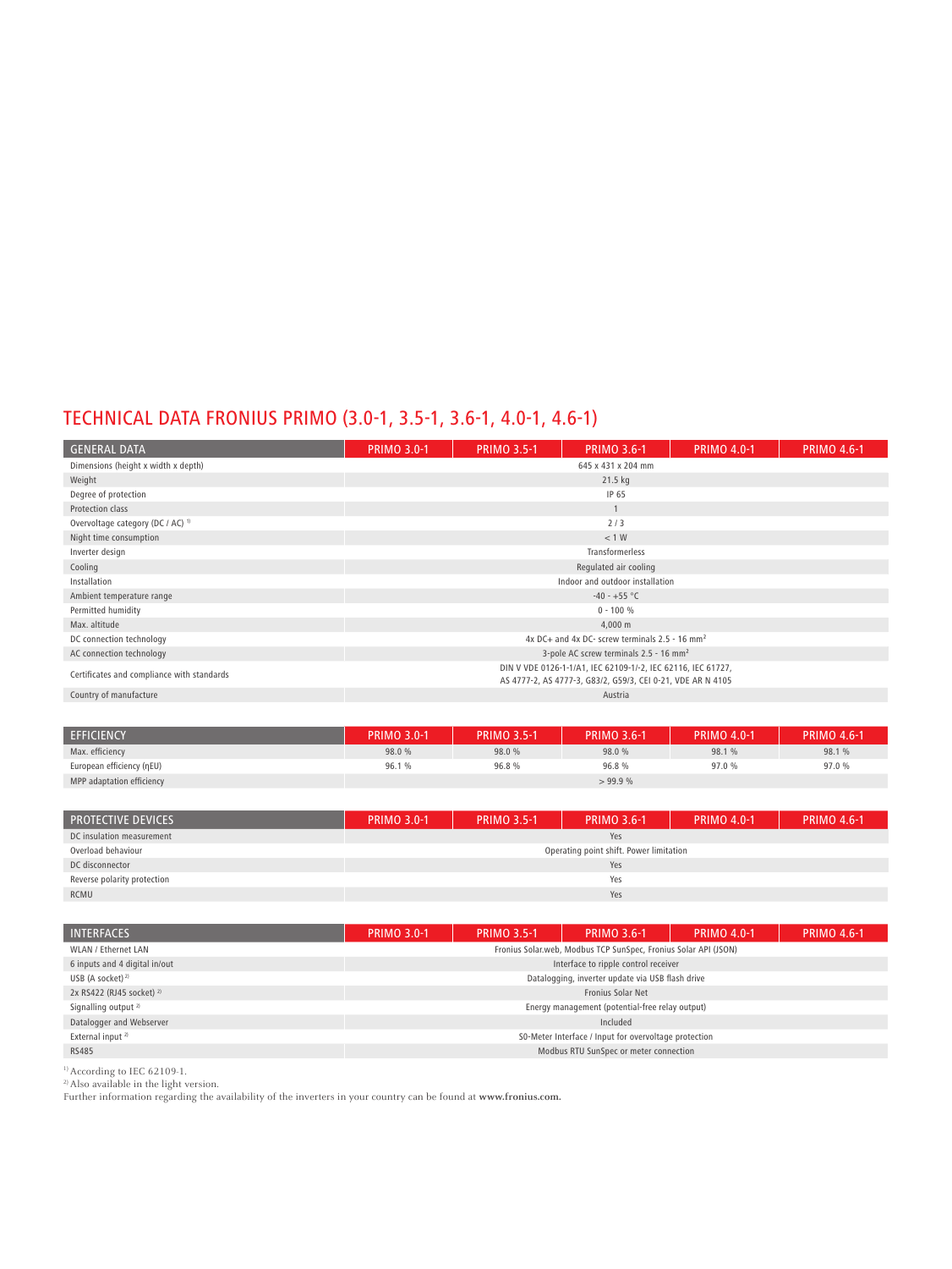# TECHNICAL DATA FRONIUS PRIMO (3.0-1, 3.5-1, 3.6-1, 4.0-1, 4.6-1)

| <b>GENERAL DATA</b>                          | <b>PRIMO 3.0-1</b>                                                                                                          | <b>PRIMO 3.5-1</b> | <b>PRIMO 3.6-1</b>                                         | <b>PRIMO 4.0-1</b> | <b>PRIMO 4.6-1</b> |  |  |
|----------------------------------------------|-----------------------------------------------------------------------------------------------------------------------------|--------------------|------------------------------------------------------------|--------------------|--------------------|--|--|
| Dimensions (height x width x depth)          | 645 x 431 x 204 mm                                                                                                          |                    |                                                            |                    |                    |  |  |
| Weight                                       |                                                                                                                             |                    | 21.5 kg                                                    |                    |                    |  |  |
| Degree of protection                         |                                                                                                                             |                    | IP 65                                                      |                    |                    |  |  |
| Protection class                             |                                                                                                                             |                    |                                                            |                    |                    |  |  |
| Overvoltage category (DC / AC) <sup>1)</sup> |                                                                                                                             |                    | 2/3                                                        |                    |                    |  |  |
| Night time consumption                       |                                                                                                                             |                    | < 1 W                                                      |                    |                    |  |  |
| Inverter design                              |                                                                                                                             |                    | Transformerless                                            |                    |                    |  |  |
| Cooling                                      |                                                                                                                             |                    | Regulated air cooling                                      |                    |                    |  |  |
| Installation                                 |                                                                                                                             |                    | Indoor and outdoor installation                            |                    |                    |  |  |
| Ambient temperature range                    |                                                                                                                             |                    | $-40 - +55$ °C                                             |                    |                    |  |  |
| Permitted humidity                           |                                                                                                                             |                    | $0 - 100 %$                                                |                    |                    |  |  |
| Max. altitude                                |                                                                                                                             |                    | 4,000 m                                                    |                    |                    |  |  |
| DC connection technology                     |                                                                                                                             |                    | 4x DC+ and 4x DC- screw terminals 2.5 - 16 mm <sup>2</sup> |                    |                    |  |  |
| AC connection technology                     | 3-pole AC screw terminals 2.5 - 16 mm <sup>2</sup>                                                                          |                    |                                                            |                    |                    |  |  |
| Certificates and compliance with standards   | DIN V VDE 0126-1-1/A1, IEC 62109-1/-2, IEC 62116, IEC 61727,<br>AS 4777-2, AS 4777-3, G83/2, G59/3, CEI 0-21, VDE AR N 4105 |                    |                                                            |                    |                    |  |  |
| Country of manufacture                       |                                                                                                                             |                    | Austria                                                    |                    |                    |  |  |

| <b>EFFICIENCY</b>         | <b>PRIMO 3.0-1</b> | <b>PRIMO 3.5-1</b> | <b>PRIMO 3.6-1</b> | <b>PRIMO 4.0-1</b> | <b>PRIMO 4.6-1</b> |
|---------------------------|--------------------|--------------------|--------------------|--------------------|--------------------|
| Max. efficiency           | 98.0 %             | 98.0 %             | 98.0 %             | 98.1 %             | 98.1 %             |
| European efficiency (nEU) | 96.1%              | 96.8%              | 96.8%              | 97.0 %             | 97.0 %             |
| MPP adaptation efficiency |                    |                    | >99.9%             |                    |                    |

| <b>PROTECTIVE DEVICES</b>   | <b>PRIMO 3.0-1</b>                      | <b>PRIMO 3.5-1</b> | <b>PRIMO 3.6-1</b> | <b>PRIMO 4.0-1</b> | <b>PRIMO 4.6-1</b> |  |  |
|-----------------------------|-----------------------------------------|--------------------|--------------------|--------------------|--------------------|--|--|
| DC insulation measurement   | Yes                                     |                    |                    |                    |                    |  |  |
| Overload behaviour          | Operating point shift. Power limitation |                    |                    |                    |                    |  |  |
| DC disconnector             | Yes                                     |                    |                    |                    |                    |  |  |
| Reverse polarity protection | Yes                                     |                    |                    |                    |                    |  |  |
| RCMU                        | Yes                                     |                    |                    |                    |                    |  |  |

| <b>INTERFACES</b>                    | <b>PRIMO 3.0-1</b>                                    | <b>PRIMO 3.5-1</b> | <b>PRIMO 3.6-1</b>                                              | <b>PRIMO 4.0-1</b> | <b>PRIMO 4.6-1</b> |  |  |
|--------------------------------------|-------------------------------------------------------|--------------------|-----------------------------------------------------------------|--------------------|--------------------|--|--|
| WLAN / Ethernet LAN                  |                                                       |                    | Fronius Solar.web, Modbus TCP SunSpec, Fronius Solar API (JSON) |                    |                    |  |  |
| 6 inputs and 4 digital in/out        | Interface to ripple control receiver                  |                    |                                                                 |                    |                    |  |  |
| USB (A socket) $^{2)}$               |                                                       |                    | Datalogging, inverter update via USB flash drive                |                    |                    |  |  |
| 2x RS422 (RJ45 socket) <sup>2)</sup> |                                                       |                    | Fronius Solar Net                                               |                    |                    |  |  |
| Signalling output <sup>2)</sup>      |                                                       |                    | Energy management (potential-free relay output)                 |                    |                    |  |  |
| Datalogger and Webserver             |                                                       |                    | Included                                                        |                    |                    |  |  |
| External input <sup>2)</sup>         | S0-Meter Interface / Input for overvoltage protection |                    |                                                                 |                    |                    |  |  |
| <b>RS485</b>                         | Modbus RTU SunSpec or meter connection                |                    |                                                                 |                    |                    |  |  |

1) According to IEC 62109-1.

2) Also available in the light version.

Further information regarding the availability of the inverters in your country can be found at **www.fronius.com.**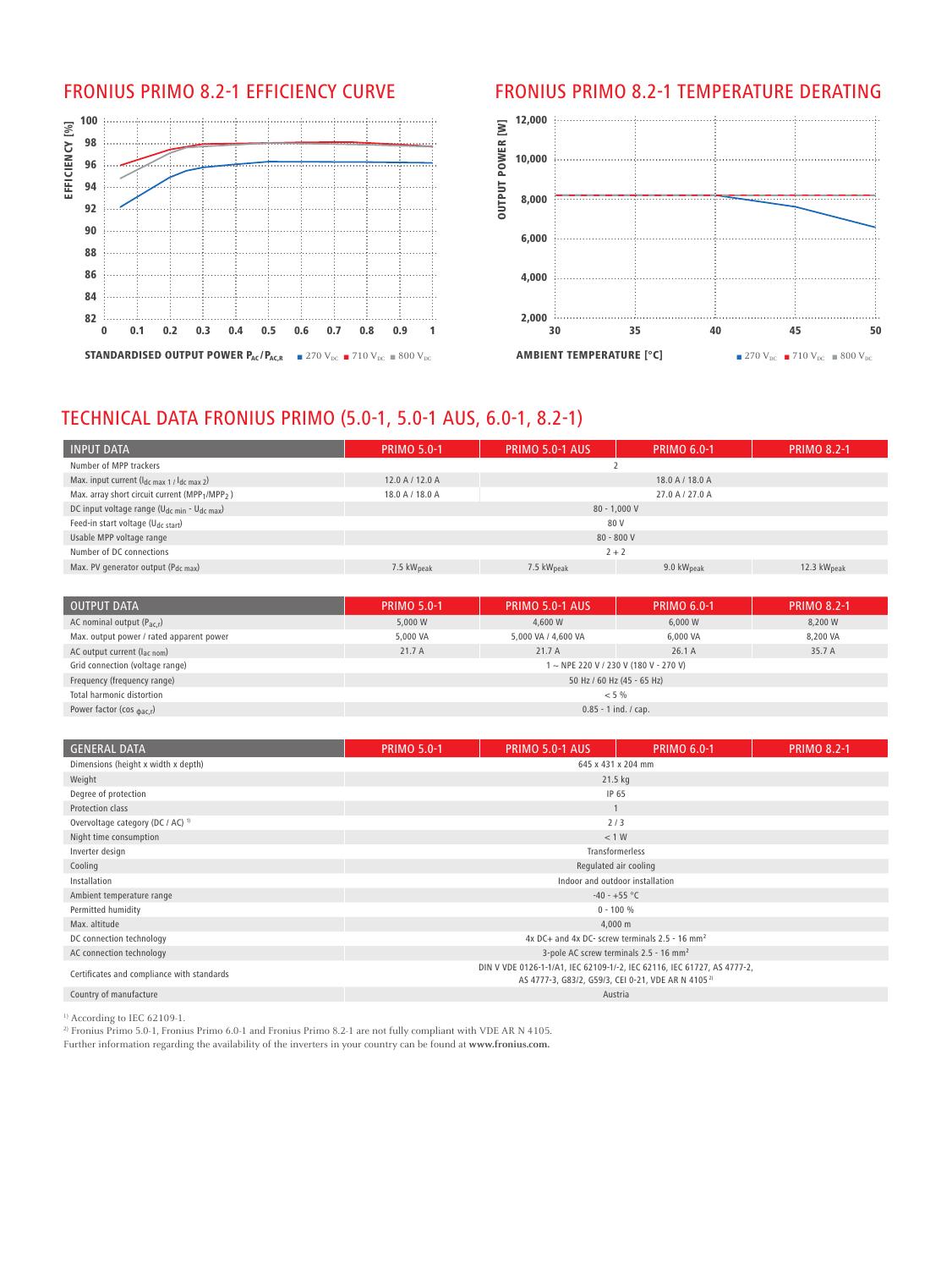

## FRONIUS PRIMO 8.2-1 EFFICIENCY CURVE FRONIUS PRIMO 8.2-1 TEMPERATURE DERATING



# TECHNICAL DATA FRONIUS PRIMO (5.0-1, 5.0-1 AUS, 6.0-1, 8.2-1)

| <b>INPUT DATA</b>                                                      | <b>PRIMO 5.0-1</b> | PRIMO 5.0-1 AUS | <b>PRIMO 6.0-1</b>     | <b>PRIMO 8.2-1</b> |  |  |  |
|------------------------------------------------------------------------|--------------------|-----------------|------------------------|--------------------|--|--|--|
| Number of MPP trackers                                                 |                    |                 |                        |                    |  |  |  |
| Max. input current $(l_{dc \, max\ 1}/l_{dc \, max\ 2})$               | 12.0 A / 12.0 A    |                 | 18.0 A / 18.0 A        |                    |  |  |  |
| Max. array short circuit current (MPP <sub>1</sub> /MPP <sub>2</sub> ) | 18.0 A / 18.0 A    |                 | 27.0 A / 27.0 A        |                    |  |  |  |
| DC input voltage range (U <sub>dc min</sub> - U <sub>dc max</sub> )    |                    | $80 - 1.000 V$  |                        |                    |  |  |  |
| Feed-in start voltage (U <sub>dc start</sub> )                         |                    | 80 V            |                        |                    |  |  |  |
| Usable MPP voltage range                                               | $80 - 800V$        |                 |                        |                    |  |  |  |
| Number of DC connections                                               | $2 + 2$            |                 |                        |                    |  |  |  |
| Max. PV generator output (P <sub>dc max</sub> )                        | 7.5 $kWpeak$       | 7.5 $kWpeak$    | 9.0 $kW_{\text{peak}}$ | 12.3 $kWpeak$      |  |  |  |

| OUTPUT DATA                              | <b>PRIMO 5.0-1</b>     | PRIMO 5.0-1 AUS            | <b>PRIMO 6.0-1</b>                    | <b>PRIMO 8.2-1</b> |  |  |
|------------------------------------------|------------------------|----------------------------|---------------------------------------|--------------------|--|--|
| AC nominal output $(P_{\text{ac,r}})$    | 5,000 W                | 4.600 W                    | 6,000 W                               | 8,200 W            |  |  |
| Max. output power / rated apparent power | 5,000 VA               | 5,000 VA / 4,600 VA        | 6,000 VA                              | 8,200 VA           |  |  |
| AC output current (I <sub>ac nom</sub> ) | 21.7A                  | 21.7A                      | 26.1A                                 | 35.7 A             |  |  |
| Grid connection (voltage range)          |                        |                            | 1 ~ NPE 220 V / 230 V (180 V - 270 V) |                    |  |  |
| Frequency (frequency range)              |                        | 50 Hz / 60 Hz (45 - 65 Hz) |                                       |                    |  |  |
| Total harmonic distortion                | $< 5 \%$               |                            |                                       |                    |  |  |
| Power factor (cos $_{\text{bac,r}}$ )    | $0.85 - 1$ ind. / cap. |                            |                                       |                    |  |  |

| <b>GENERAL DATA</b>                          | <b>PRIMO 5.0-1</b>                                                                                                                        | <b>PRIMO 5.0-1 AUS</b>                                     | <b>PRIMO 6.0-1</b> | <b>PRIMO 8.2-1</b> |  |  |  |
|----------------------------------------------|-------------------------------------------------------------------------------------------------------------------------------------------|------------------------------------------------------------|--------------------|--------------------|--|--|--|
| Dimensions (height x width x depth)          | 645 x 431 x 204 mm                                                                                                                        |                                                            |                    |                    |  |  |  |
| Weight                                       | 21.5 kg                                                                                                                                   |                                                            |                    |                    |  |  |  |
| Degree of protection                         | IP 65                                                                                                                                     |                                                            |                    |                    |  |  |  |
| Protection class                             |                                                                                                                                           |                                                            |                    |                    |  |  |  |
| Overvoltage category (DC / AC) <sup>1)</sup> |                                                                                                                                           | 2/3                                                        |                    |                    |  |  |  |
| Night time consumption                       |                                                                                                                                           | < 1 W                                                      |                    |                    |  |  |  |
| Inverter design                              |                                                                                                                                           | Transformerless                                            |                    |                    |  |  |  |
| Cooling                                      |                                                                                                                                           | Regulated air cooling                                      |                    |                    |  |  |  |
| Installation                                 |                                                                                                                                           | Indoor and outdoor installation                            |                    |                    |  |  |  |
| Ambient temperature range                    |                                                                                                                                           | $-40 - +55$ °C                                             |                    |                    |  |  |  |
| Permitted humidity                           |                                                                                                                                           | $0 - 100 %$                                                |                    |                    |  |  |  |
| Max. altitude                                |                                                                                                                                           | 4,000 m                                                    |                    |                    |  |  |  |
| DC connection technology                     |                                                                                                                                           | 4x DC+ and 4x DC- screw terminals 2.5 - 16 mm <sup>2</sup> |                    |                    |  |  |  |
| AC connection technology                     |                                                                                                                                           | 3-pole AC screw terminals 2.5 - 16 mm <sup>2</sup>         |                    |                    |  |  |  |
| Certificates and compliance with standards   | DIN V VDE 0126-1-1/A1, IEC 62109-1/-2, IEC 62116, IEC 61727, AS 4777-2,<br>AS 4777-3, G83/2, G59/3, CEI 0-21, VDE AR N 4105 <sup>2)</sup> |                                                            |                    |                    |  |  |  |
| Country of manufacture                       |                                                                                                                                           | Austria                                                    |                    |                    |  |  |  |

1) According to IEC 62109-1.

<sup>2)</sup> Fronius Primo 5.0-1, Fronius Primo 6.0-1 and Fronius Primo 8.2-1 are not fully compliant with VDE AR N 4105.

Further information regarding the availability of the inverters in your country can be found at **www.fronius.com.**